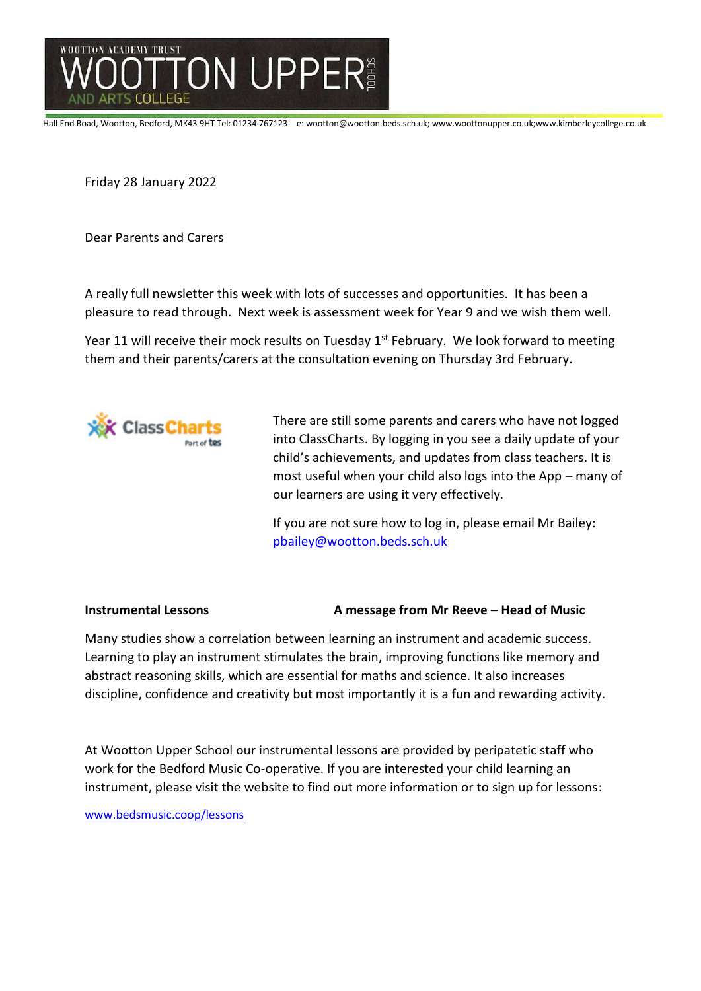

Hall End Road, Wootton, Bedford, MK43 9HT Tel: 01234 767123 e: wootton@wootton.beds.sch.uk; www.woottonupper.co.uk;www.kimberleycollege.co.uk

Friday 28 January 2022

Dear Parents and Carers

A really full newsletter this week with lots of successes and opportunities. It has been a pleasure to read through. Next week is assessment week for Year 9 and we wish them well.

Year 11 will receive their mock results on Tuesday 1<sup>st</sup> February. We look forward to meeting them and their parents/carers at the consultation evening on Thursday 3rd February.



There are still some parents and carers who have not logged into ClassCharts. By logging in you see a daily update of your child's achievements, and updates from class teachers. It is most useful when your child also logs into the App – many of our learners are using it very effectively.

If you are not sure how to log in, please email Mr Bailey: [pbailey@wootton.beds.sch.uk](mailto:pbailey@wootton.beds.sch.uk)

#### **Instrumental Lessons Theory A message from Mr Reeve – Head of Music**

Many studies show a correlation between learning an instrument and academic success. Learning to play an instrument stimulates the brain, improving functions like memory and abstract reasoning skills, which are essential for maths and science. It also increases discipline, confidence and creativity but most importantly it is a fun and rewarding activity.

At Wootton Upper School our instrumental lessons are provided by peripatetic staff who work for the Bedford Music Co-operative. If you are interested your child learning an instrument, please visit the website to find out more information or to sign up for lessons:

[www](http://www/)[.bedsmusic.coop/lessons](https://linkprotect.cudasvc.com/url?a=https%3a%2f%2fwww.bedsmusic.coop%2flessons&c=E,1,w4ZdOZm8EsXLicBHl0Y29klTidYKivaAjHzTmRy8f0O-dOxgfjPNfKzg_jBrkeBOauiXeXUbAL215sakL3s5lsh799rPY5rbTCC_b1YkuLeO7emweIEJ8iwN&typo=1)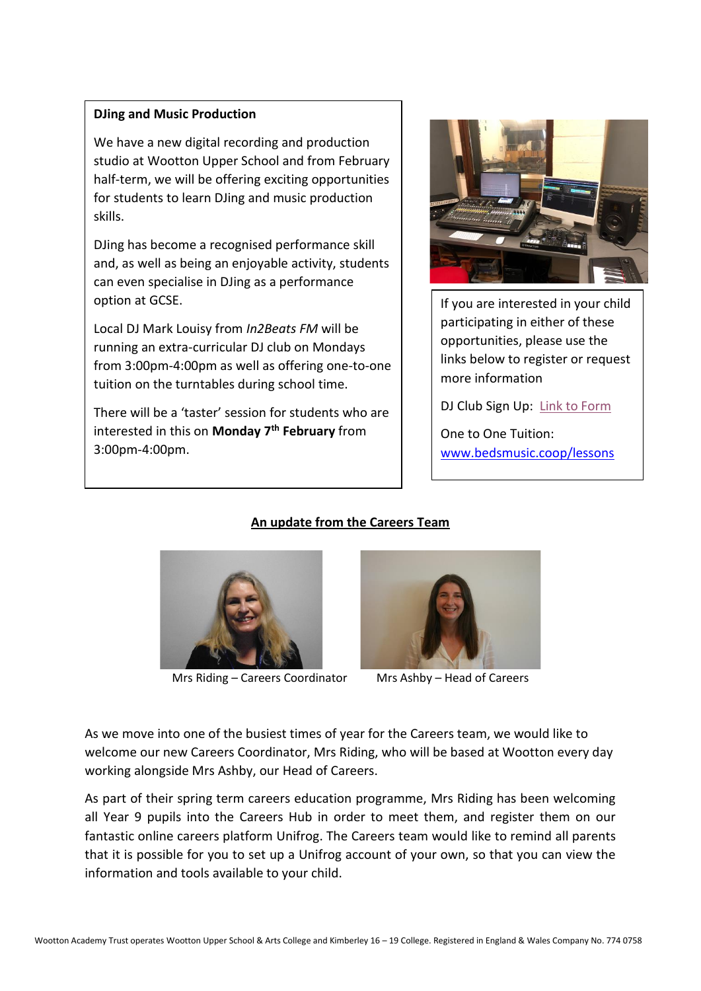### **DJing and Music Production**

We have a new digital recording and production studio at Wootton Upper School and from February half-term, we will be offering exciting opportunities for students to learn DJing and music production skills.

DJing has become a recognised performance skill and, as well as being an enjoyable activity, students can even specialise in DJing as a performance option at GCSE.

Local DJ Mark Louisy from *In2Beats FM* will be running an extra-curricular DJ club on Mondays from 3:00pm-4:00pm as well as offering one-to-one tuition on the turntables during school time.

There will be a 'taster' session for students who are interested in this on **Monday 7th February** from 3:00pm-4:00pm.



If you are interested in your child participating in either of these opportunities, please use the links below to register or request more information

DJ Club Sign Up: [Link to Form](https://forms.office.com/Pages/ResponsePage.aspx?id=zILYaDWJ-0i553zSzHpNdQ0UU1Gw4eNDkpQOM5FkXtBUQzJESU4zSTFMQjhPTUtOSklBMkI3OUFDSS4u)

One to One Tuition: [www.bedsmusic.coop/lessons](https://linkprotect.cudasvc.com/url?a=https%3a%2f%2fwww.bedsmusic.coop%2flessons&c=E,1,w4ZdOZm8EsXLicBHl0Y29klTidYKivaAjHzTmRy8f0O-dOxgfjPNfKzg_jBrkeBOauiXeXUbAL215sakL3s5lsh799rPY5rbTCC_b1YkuLeO7emweIEJ8iwN&typo=1)

# **An update from the Careers Team**



Mrs Riding – Careers Coordinator Mrs Ashby – Head of Careers



As we move into one of the busiest times of year for the Careers team, we would like to welcome our new Careers Coordinator, Mrs Riding, who will be based at Wootton every day working alongside Mrs Ashby, our Head of Careers.

As part of their spring term careers education programme, Mrs Riding has been welcoming all Year 9 pupils into the Careers Hub in order to meet them, and register them on our fantastic online careers platform Unifrog. The Careers team would like to remind all parents that it is possible for you to set up a Unifrog account of your own, so that you can view the information and tools available to your child.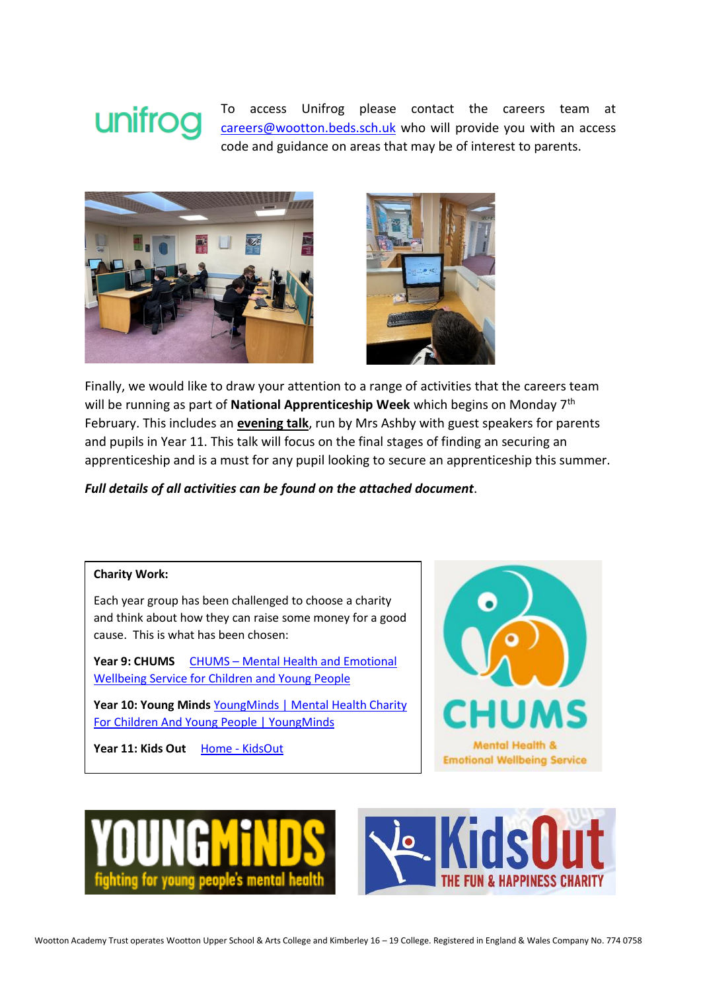# unifroq

To access Unifrog please contact the careers team at [careers@wootton.beds.sch.uk](mailto:careers@wootton.beds.sch.uk) who will provide you with an access code and guidance on areas that may be of interest to parents.





Finally, we would like to draw your attention to a range of activities that the careers team will be running as part of **National Apprenticeship Week** which begins on Monday 7th February. This includes an **evening talk**, run by Mrs Ashby with guest speakers for parents and pupils in Year 11. This talk will focus on the final stages of finding an securing an apprenticeship and is a must for any pupil looking to secure an apprenticeship this summer.

*Full details of all activities can be found on the attached document*.

#### **Charity Work:**

Each year group has been challenged to choose a charity and think about how they can raise some money for a good cause. This is what has been chosen:

Year 9: CHUMS CHUMS – Mental Health and Emotional [Wellbeing Service for Children and Young People](http://chums.uk.com/)

Year 10: Young Minds YoungMinds | Mental Health Charity [For Children And Young People | YoungMinds](https://www.youngminds.org.uk/)

Year 11: Kids Out Home - [KidsOut](https://www.kidsout.org.uk/)





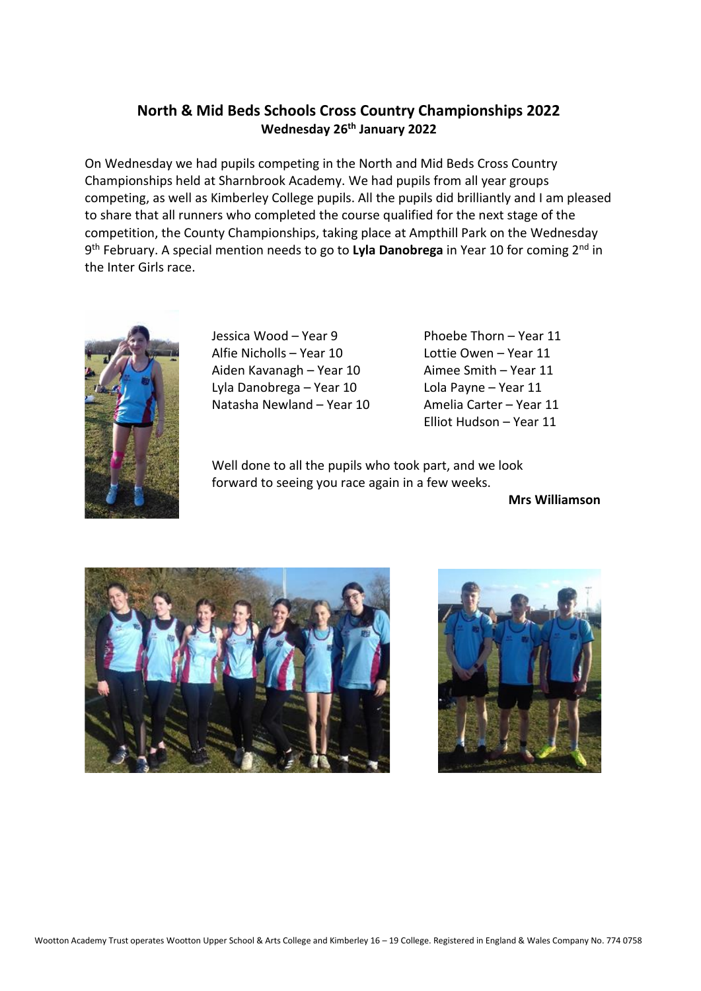# **North & Mid Beds Schools Cross Country Championships 2022 Wednesday 26th January 2022**

On Wednesday we had pupils competing in the North and Mid Beds Cross Country Championships held at Sharnbrook Academy. We had pupils from all year groups competing, as well as Kimberley College pupils. All the pupils did brilliantly and I am pleased to share that all runners who completed the course qualified for the next stage of the competition, the County Championships, taking place at Ampthill Park on the Wednesday 9<sup>th</sup> February. A special mention needs to go to Lyla Danobrega in Year 10 for coming 2<sup>nd</sup> in the Inter Girls race.



Jessica Wood – Year 9 Phoebe Thorn – Year 11 Alfie Nicholls – Year 10 Lottie Owen – Year 11 Aiden Kavanagh – Year 10 Aimee Smith – Year 11 Lyla Danobrega – Year 10 Lola Payne – Year 11 Natasha Newland – Year 10 Amelia Carter – Year 11

Elliot Hudson – Year 11

Well done to all the pupils who took part, and we look forward to seeing you race again in a few weeks.

**Mrs Williamson**



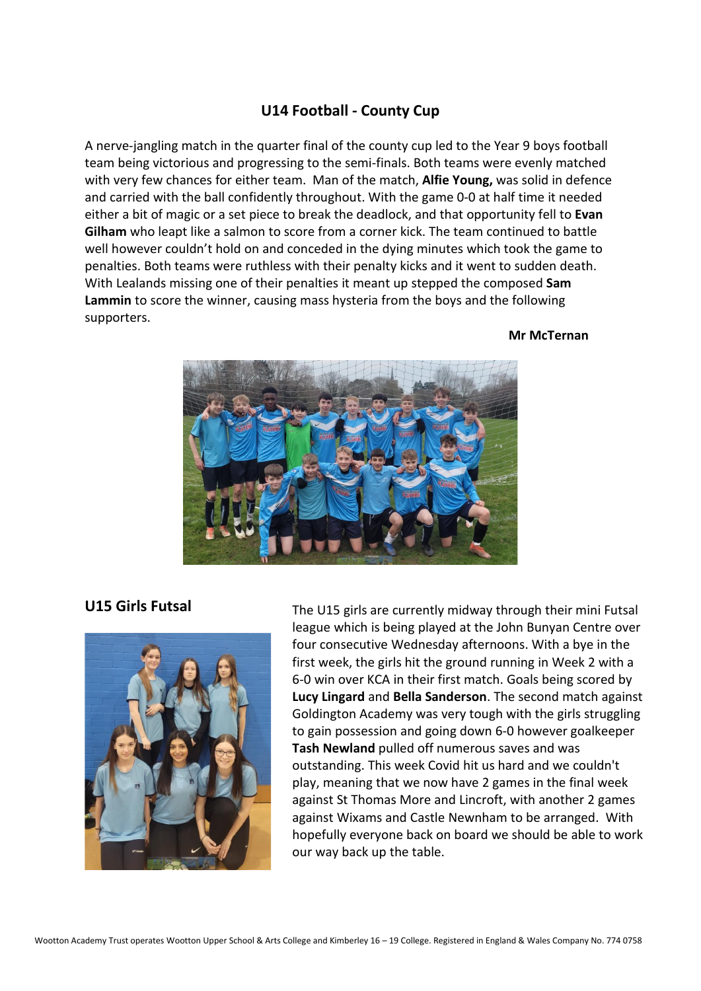## **U14 Football - County Cup**

A nerve-jangling match in the quarter final of the county cup led to the Year 9 boys football team being victorious and progressing to the semi-finals. Both teams were evenly matched with very few chances for either team. Man of the match, **Alfie Young,** was solid in defence and carried with the ball confidently throughout. With the game 0-0 at half time it needed either a bit of magic or a set piece to break the deadlock, and that opportunity fell to **Evan Gilham** who leapt like a salmon to score from a corner kick. The team continued to battle well however couldn't hold on and conceded in the dying minutes which took the game to penalties. Both teams were ruthless with their penalty kicks and it went to sudden death. With Lealands missing one of their penalties it meant up stepped the composed **Sam Lammin** to score the winner, causing mass hysteria from the boys and the following supporters.

#### **Mr McTernan**





**U15 Girls Futsal** The U15 girls are currently midway through their mini Futsal league which is being played at the John Bunyan Centre over four consecutive Wednesday afternoons. With a bye in the first week, the girls hit the ground running in Week 2 with a 6-0 win over KCA in their first match. Goals being scored by **Lucy Lingard** and **Bella Sanderson**. The second match against Goldington Academy was very tough with the girls struggling to gain possession and going down 6-0 however goalkeeper **Tash Newland** pulled off numerous saves and was outstanding. This week Covid hit us hard and we couldn't play, meaning that we now have 2 games in the final week against St Thomas More and Lincroft, with another 2 games against Wixams and Castle Newnham to be arranged. With hopefully everyone back on board we should be able to work our way back up the table.